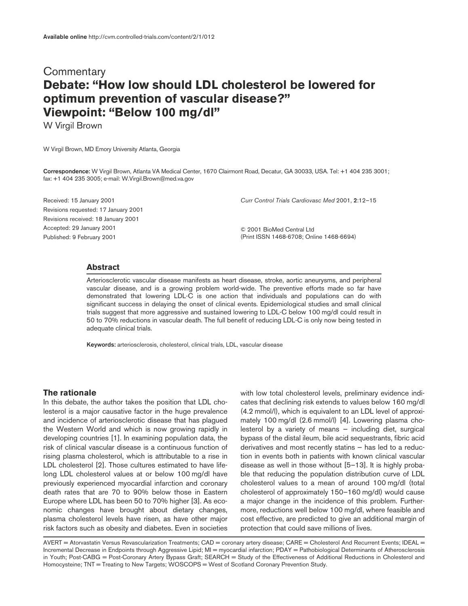# **Commentary Debate: "How low should LDL cholesterol be lowered for optimum prevention of vascular disease?" Viewpoint: "Below 100 mg/dl"**

W Virgil Brown

W Virgil Brown, MD Emory University Atlanta, Georgia

**Correspondence:** W Virgil Brown, Atlanta VA Medical Center, 1670 Clairmont Road, Decatur, GA 30033, USA. Tel: +1 404 235 3001; fax: +1 404 235 3005; e-mail: W.Virgil.Brown@med.va.gov

Received: 15 January 2001 Revisions requested: 17 January 2001 Revisions received: 18 January 2001 Accepted: 29 January 2001 Published: 9 February 2001

Curr Control Trials Cardiovasc Med 2001, **2**:12–15

© 2001 BioMed Central Ltd (Print ISSN 1468-6708; Online 1468-6694)

#### **Abstract**

Arteriosclerotic vascular disease manifests as heart disease, stroke, aortic aneurysms, and peripheral vascular disease, and is a growing problem world-wide. The preventive efforts made so far have demonstrated that lowering LDL-C is one action that individuals and populations can do with significant success in delaying the onset of clinical events. Epidemiological studies and small clinical trials suggest that more aggressive and sustained lowering to LDL-C below 100 mg/dl could result in 50 to 70% reductions in vascular death. The full benefit of reducing LDL-C is only now being tested in adequate clinical trials.

**Keywords:** arteriosclerosis, cholesterol, clinical trials, LDL, vascular disease

### **The rationale**

In this debate, the author takes the position that LDL cholesterol is a major causative factor in the huge prevalence and incidence of arteriosclerotic disease that has plagued the Western World and which is now growing rapidly in developing countries [1]. In examining population data, the risk of clinical vascular disease is a continuous function of rising plasma cholesterol, which is attributable to a rise in LDL cholesterol [2]. Those cultures estimated to have lifelong LDL cholesterol values at or below 100 mg/dl have previously experienced myocardial infarction and coronary death rates that are 70 to 90% below those in Eastern Europe where LDL has been 50 to 70% higher [3]. As economic changes have brought about dietary changes, plasma cholesterol levels have risen, as have other major risk factors such as obesity and diabetes. Even in societies with low total cholesterol levels, preliminary evidence indicates that declining risk extends to values below 160 mg/dl (4.2 mmol/l), which is equivalent to an LDL level of approximately 100 mg/dl (2.6 mmol/l) [4]. Lowering plasma cholesterol by a variety of means  $-$  including diet, surgical bypass of the distal ileum, bile acid sequestrants, fibric acid derivatives and most recently statins — has led to a reduction in events both in patients with known clinical vascular disease as well in those without [5–13]. It is highly probable that reducing the population distribution curve of LDL cholesterol values to a mean of around 100 mg/dl (total cholesterol of approximately 150–160 mg/dl) would cause a major change in the incidence of this problem. Furthermore, reductions well below 100 mg/dl, where feasible and cost effective, are predicted to give an additional margin of protection that could save millions of lives.

AVERT = Atorvastatin Versus Revascularization Treatments; CAD = coronary artery disease; CARE = Cholesterol And Recurrent Events; IDEAL = Incremental Decrease in Endpoints through Aggressive Lipid; MI = myocardial infarction; PDAY = Pathobiological Determinants of Atherosclerosis in Youth; Post-CABG = Post-Coronary Artery Bypass Graft; SEARCH = Study of the Effectiveness of Additional Reductions in Cholesterol and Homocysteine; TNT = Treating to New Targets; WOSCOPS = West of Scotland Coronary Prevention Study.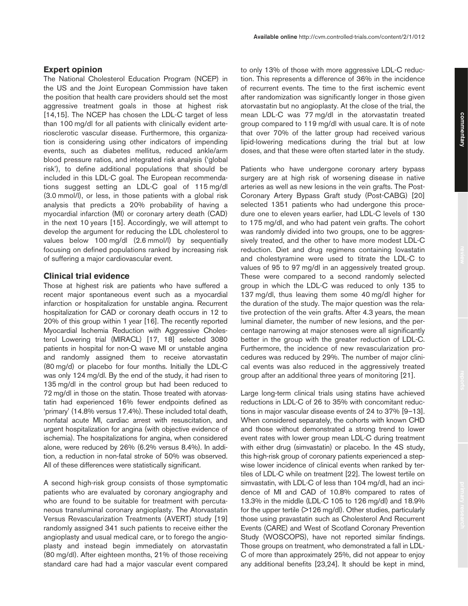### **Expert opinion**

The National Cholesterol Education Program (NCEP) in the US and the Joint European Commission have taken the position that health care providers should set the most aggressive treatment goals in those at highest risk [14,15]. The NCEP has chosen the LDL-C target of less than 100 mg/dl for all patients with clinically evident arteriosclerotic vascular disease. Furthermore, this organization is considering using other indicators of impending events, such as diabetes mellitus, reduced ankle/arm blood pressure ratios, and integrated risk analysis ('global risk'), to define additional populations that should be included in this LDL-C goal. The European recommendations suggest setting an LDL-C goal of 115 mg/dl (3.0 mmol/l), or less, in those patients with a global risk analysis that predicts a 20% probability of having a myocardial infarction (MI) or coronary artery death (CAD) in the next 10 years [15]. Accordingly, we will attempt to develop the argument for reducing the LDL cholesterol to values below 100 mg/dl (2.6 mmol/l) by sequentially focusing on defined populations ranked by increasing risk of suffering a major cardiovascular event.

## **Clinical trial evidence**

Those at highest risk are patients who have suffered a recent major spontaneous event such as a myocardial infarction or hospitalization for unstable angina. Recurrent hospitalization for CAD or coronary death occurs in 12 to 20% of this group within 1 year [16]. The recently reported Myocardial Ischemia Reduction with Aggressive Cholesterol Lowering trial (MIRACL) [17, 18] selected 3080 patients in hospital for non-Q wave MI or unstable angina and randomly assigned them to receive atorvastatin (80 mg/d) or placebo for four months. Initially the LDL-C was only 124 mg/dl. By the end of the study, it had risen to 135 mg/dl in the control group but had been reduced to 72 mg/dl in those on the statin. Those treated with atorvastatin had experienced 16% fewer endpoints defined as 'primary' (14.8% versus 17.4%). These included total death, nonfatal acute MI, cardiac arrest with resuscitation, and urgent hospitalization for angina (with objective evidence of ischemia). The hospitalizations for angina, when considered alone, were reduced by 26% (6.2% versus 8.4%). In addition, a reduction in non-fatal stroke of 50% was observed. All of these differences were statistically significant.

A second high-risk group consists of those symptomatic patients who are evaluated by coronary angiography and who are found to be suitable for treatment with percutaneous transluminal coronary angioplasty. The Atorvastatin Versus Revascularization Treatments (AVERT) study [19] randomly assigned 341 such patients to receive either the angioplasty and usual medical care, or to forego the angioplasty and instead begin immediately on atorvastatin (80 mg/dl). After eighteen months, 21% of those receiving standard care had had a major vascular event compared to only 13% of those with more aggressive LDL-C reduction. This represents a difference of 36% in the incidence of recurrent events. The time to the first ischemic event after randomization was significantly longer in those given atorvastatin but no angioplasty. At the close of the trial, the mean LDL-C was 77 mg/dl in the atorvastatin treated group compared to 119 mg/dl with usual care. It is of note that over 70% of the latter group had received various lipid-lowering medications during the trial but at low doses, and that these were often started later in the study.

Patients who have undergone coronary artery bypass surgery are at high risk of worsening disease in native arteries as well as new lesions in the vein grafts. The Post-Coronary Artery Bypass Graft study (Post-CABG) [20] selected 1351 patients who had undergone this procedure one to eleven years earlier, had LDL-C levels of 130 to 175 mg/dl, and who had patent vein grafts. The cohort was randomly divided into two groups, one to be aggressively treated, and the other to have more modest LDL-C reduction. Diet and drug regimens containing lovastatin and cholestyramine were used to titrate the LDL-C to values of 95 to 97 mg/dl in an aggessively treated group. These were compared to a second randomly selected group in which the LDL-C was reduced to only 135 to 137 mg/dl, thus leaving them some 40 mg/dl higher for the duration of the study. The major question was the relative protection of the vein grafts. After 4.3 years, the mean luminal diameter, the number of new lesions, and the percentage narrowing at major stenoses were all significantly better in the group with the greater reduction of LDL-C. Furthermore, the incidence of new revascularization procedures was reduced by 29%. The number of major clinical events was also reduced in the aggressively treated group after an additional three years of monitoring [21].

Large long-term clinical trials using statins have achieved reductions in LDL-C of 26 to 35% with concomitant reductions in major vascular disease events of 24 to 37% [9–13]. When considered separately, the cohorts with known CHD and those without demonstrated a strong trend to lower event rates with lower group mean LDL-C during treatment with either drug (simvastatin) or placebo. In the 4S study, this high-risk group of coronary patients experienced a stepwise lower incidence of clinical events when ranked by tertiles of LDL-C while on treatment [22]. The lowest tertile on simvastatin, with LDL-C of less than 104 mg/dl, had an incidence of MI and CAD of 10.8% compared to rates of 13.3% in the middle (LDL-C 105 to 126 mg/dl) and 18.9% for the upper tertile  $(>126 \text{ mg/d})$ . Other studies, particularly those using pravastatin such as Cholesterol And Recurrent Events (CARE) and West of Scotland Coronary Prevention Study (WOSCOPS), have not reported similar findings. Those groups on treatment, who demonstrated a fall in LDL-C of more than approximately 25%, did not appear to enjoy any additional benefits [23,24]. It should be kept in mind,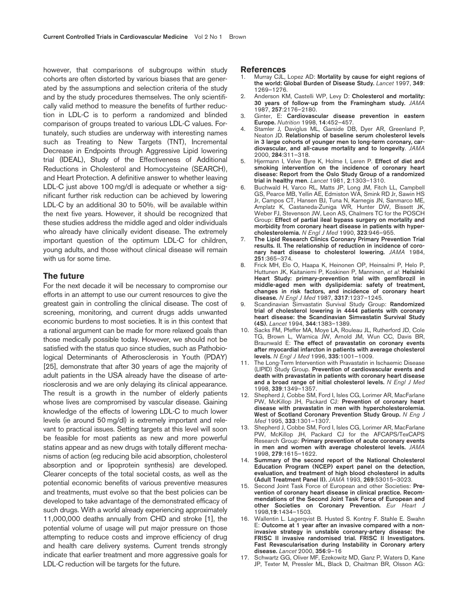however, that comparisons of subgroups within study cohorts are often distorted by various biases that are generated by the assumptions and selection criteria of the study and by the study procedures themselves. The only scientifically valid method to measure the benefits of further reduction in LDL-C is to perform a randomized and blinded comparison of groups treated to various LDL-C values. Fortunately, such studies are underway with interesting names such as Treating to New Targets (TNT), Incremental Decrease in Endpoints through Aggressive Lipid lowering trial (IDEAL), Study of the Effectiveness of Additional Reductions in Cholesterol and Homocysteine (SEARCH), and Heart Protection. A definitive answer to whether leaving LDL-C just above 100 mg/dl is adequate or whether a significant further risk reduction can be achieved by lowering LDL-C by an additional 30 to 50%, will be available within the next five years. However, it should be recognized that these studies address the middle aged and older individuals who already have clinically evident disease. The extremely important question of the optimum LDL-C for children, young adults, and those without clinical disease will remain with us for some time.

#### **The future**

For the next decade it will be necessary to compromise our efforts in an attempt to use our current resources to give the greatest gain in controlling the clinical disease. The cost of screening, monitoring, and current drugs adds unwanted economic burdens to most societies. It is in this context that a rational argument can be made for more relaxed goals than those medically possible today. However, we should not be satisfied with the status quo since studies, such as Pathobiological Determinants of Atherosclerosis in Youth (PDAY) [25], demonstrate that after 30 years of age the majority of adult patients in the USA already have the disease of arteriosclerosis and we are only delaying its clinical appearance. The result is a growth in the number of elderly patients whose lives are compromised by vascular disease. Gaining knowledge of the effects of lowering LDL-C to much lower levels (ie around 50 mg/dl) is extremely important and relevant to practical issues. Setting targets at this level will soon be feasible for most patients as new and more powerful statins appear and as new drugs with totally different mechanisms of action (eg reducing bile acid absorption, cholesterol absorption and or lipoprotein synthesis) are developed. Clearer concepts of the total societal costs, as well as the potential economic benefits of various preventive measures and treatments, must evolve so that the best policies can be developed to take advantage of the demonstrated efficacy of such drugs. With a world already experiencing approximately 11,000,000 deaths annually from CHD and stroke [1], the potential volume of usage will put major pressure on those attempting to reduce costs and improve efficiency of drug and health care delivery systems. Current trends strongly indicate that earlier treatment and more aggressive goals for LDL-C reduction will be targets for the future.

#### **References**

- 1. Murray CJL, Lopez AD: **Mortality by cause for eight regions of the world: Global Burden of Disease Study.** Lancet 1997, **349**: 1269–1276.
- 2. Anderson KM, Castelli WP, Levy D: **Cholesterol and mortality: 30 years of follow-up from the Framingham study.** JAMA 1987, **257**:2176–2180.
- 3. Ginter, E: **Cardiovascular disease prevention in eastern Europe.** Nutrition 1998, **14**:452–457.
- 4. Stamler J, Daviglus ML, Garside DB, Dyer AR, Greenland P, Neaton JD. **Relationship of baseline serum cholesterol levels in 3 large cohorts of younger men to long-term coronary, cardiovascular, and all-cause mortality and to longevity**. JAMA 2000, **284**:311–318.
- 5. Hjermann I, Velve Byre K, Holme I, Leren P. **Effect of diet and smoking intervention on the incidence of coronary heart disease: Report from the Oslo Study Group of a randomized trial in healthy men**. Lancet 1981, **2**:1303–1310.
- 6. Buchwald H, Varco RL, Matts JP, Long JM, Fitch LL, Campbell GS, Pearce MB, Yellin AE, Edmiston WA, Smink RD Jr, Sawin HS Jr, Campos CT, Hansen BJ, Tuna N, Karnegis JN, Sanmarco ME, Amplatz K, Castaneda-Zuniga WR, Hunter DW, Bissett JK, Weber FJ, Stevenson JW, Leon AS, Chalmers TC for the POSCH Group: **Effect of partial ileal bypass surgery on mortality and morbidity from coronary heart disease in patients with hypercholesterolemia.** N Engl J Med 1990, **323**:946–955.
- 7. **The Lipid Research Clinics Coronary Primary Prevention Trial results. II. The relationship of reduction in incidence of coronary heart disease to cholesterol lowering.** JAMA 1984, **251**:365–374.
- 8. Frick MH, Elo O, Haapa K, Heinonen OP, Heinsalmi P, Helo P, Huttunen JK, Kaitaniemi P, Koskinen P, Manninen, et al: **Helsinki Heart Study: primary-prevention trial with gemfibrozil in middle-aged men with dyslipidemia: safety of treatment, changes in risk factors, and incidence of coronary heart disease***.* N Engl J Med 1987, **3317**:1237–1245.
- 9. Scandinavian Simvastatin Survival Study Group: **Randomized trial of cholesterol lowering in 4444 patients with coronary heart disease: the Scandinavian Simvastatin Survival Study (4S).** Lancet 1994, **344**:1383–1389.
- 10. Sacks FM, Pfeffer MA, Moye LA, Rouleau JL, Rutherford JD, Cole TG, Brown L, Warnica JW, Arnold JM, Wun CC, Davis BR, Braunwald E: **The effect of pravastatin on coronary events after myocardial infarcton in patients with average cholesterol levels.** N Engl J Med 1996, **335**:1001–1009.
- 11. The Long-Term Intervention with Pravastatin in Ischaemic Disease (LIPID) Study Group. **Prevention of cardiovascular events and death with pravastatin in patients with coronary heart disease and a broad range of initial cholesterol levels.** N Engl J Med 1998, **339**:1349–1357.
- 12. Shepherd J, Cobbe SM, Ford I, Isles CG, Lorimer AR, MacFarlane PW, McKillop JH, Packard CJ: **Prevention of coronary heart disease with pravastatin in men with hypercholesterolemia. West of Scotland Coronary Prevention Study Group.** N Eng J Med 1995, **333**:1301–1307.
- 13. Shepherd J, Cobbe SM, Ford I, Isles CG, Lorimer AR, MacFarlane PW, McKillop JH, Packard CJ for the AFCAPS/TexCAPS Research Group: **Primary prevention of acute coronary events in men and women with average cholesterol levels.** JAMA 1998, **279**:1615–1622.
- 14. **Summary of the second report of the National Cholesterol Education Program (NCEP) expert panel on the detection, evaluation, and treatment of high blood cholesterol in adults (Adult Treatment Panel II).** JAMA 1993, **269**:53015–3023.
- 15. Second Joint Task Force of European and other Societies: **Prevention of coronary heart disease in clinical practice. Recommendations of the Second Joint Task Force of European and other Societies on Coronary Prevention.** Eur Heart J 1998,**19**:1434–1503.
- 16. Wallentin L. Lagerqvist B. Husted S. Kontny F. Stahle E. Swahn E: **Outcome at 1 year after an invasive compared with a noninvasive strategy in unstable coronary-artery disease: the FRISC II invasive randomised trial. FRISC II Investigators. Fast Revascularisation during Instability in Coronary artery disease.** Lancet 2000, **356**:9–16
- 17. Schwartz GG, Oliver MF, Ezekowitz MD, Ganz P, Waters D, Kane JP, Texter M, Pressler ML, Black D, Chaitman BR, Olsson AG: